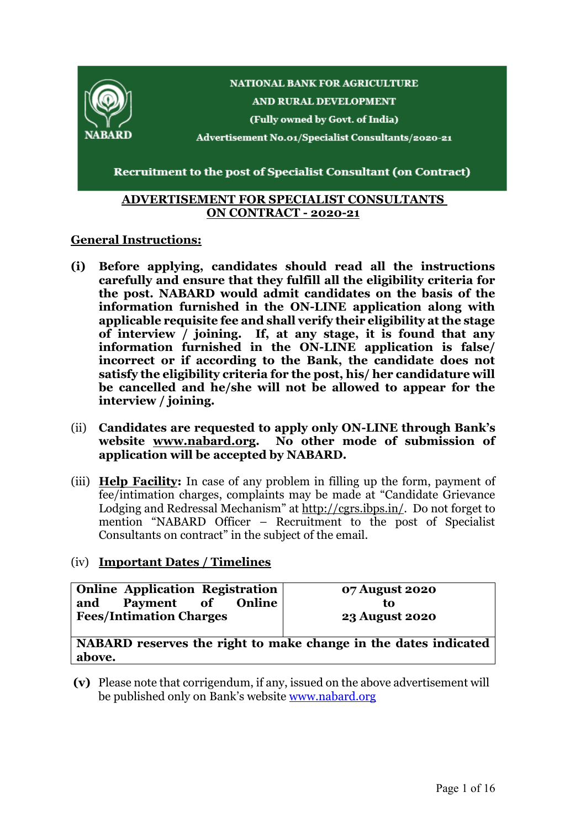

#### **ADVERTISEMENT FOR SPECIALIST CONSULTANTS ON CONTRACT - 2020-21**

## **General Instructions:**

- **(i) Before applying, candidates should read all the instructions carefully and ensure that they fulfill all the eligibility criteria for the post. NABARD would admit candidates on the basis of the information furnished in the ON-LINE application along with applicable requisite fee and shall verify their eligibility at the stage of interview / joining. If, at any stage, it is found that any information furnished in the ON-LINE application is false/ incorrect or if according to the Bank, the candidate does not satisfy the eligibility criteria for the post, his/ her candidature will be cancelled and he/she will not be allowed to appear for the interview / joining.**
- (ii) **Candidates are requested to apply only ON-LINE through Bank's website [www.nabard.org.](http://www.nabard.org/) No other mode of submission of application will be accepted by NABARD.**
- (iii) **Help Facility:** In case of any problem in filling up the form, payment of fee/intimation charges, complaints may be made at "Candidate Grievance Lodging and Redressal Mechanism" at [http://cgrs.ibps.in/.](http://cgrs.ibps.in/) Do not forget to mention "NABARD Officer – Recruitment to the post of Specialist Consultants on contract" in the subject of the email.

#### (iv) **Important Dates / Timelines**

| <b>Online Application Registration</b><br>Payment of<br><b>Online</b><br>and | 07 August 2020<br>το  |
|------------------------------------------------------------------------------|-----------------------|
| <b>Fees/Intimation Charges</b>                                               | <b>23 August 2020</b> |

**NABARD reserves the right to make change in the dates indicated above.**

**(v)** Please note that corrigendum, if any, issued on the above advertisement will be published only on Bank's website [www.nabard.org](http://www.nabard.org/)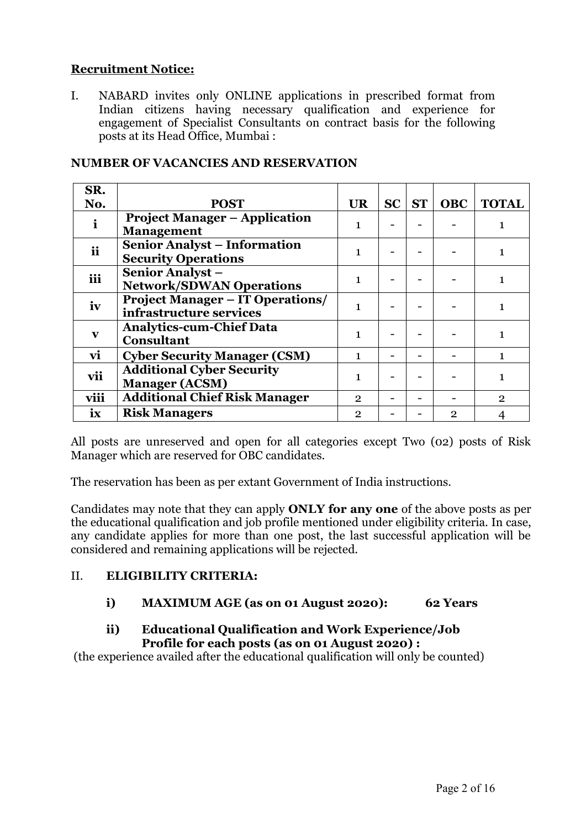## **Recruitment Notice:**

I. NABARD invites only ONLINE applications in prescribed format from Indian citizens having necessary qualification and experience for engagement of Specialist Consultants on contract basis for the following posts at its Head Office, Mumbai :

| SR.                     |                                                                    |                |           |            |              |
|-------------------------|--------------------------------------------------------------------|----------------|-----------|------------|--------------|
| No.                     | <b>POST</b>                                                        | <b>UR</b>      | $SC$ $ST$ | <b>OBC</b> | <b>TOTAL</b> |
| $\mathbf{i}$            | <b>Project Manager – Application</b><br><b>Management</b>          | 1              |           |            |              |
| <i>ii</i>               | <b>Senior Analyst - Information</b><br><b>Security Operations</b>  | 1              |           |            |              |
| iii                     | <b>Senior Analyst -</b><br><b>Network/SDWAN Operations</b>         | 1              |           |            |              |
| iv                      | <b>Project Manager – IT Operations/</b><br>infrastructure services |                |           |            |              |
| $\mathbf{v}$            | <b>Analytics-cum-Chief Data</b><br><b>Consultant</b>               | 1              |           |            |              |
| vi                      | <b>Cyber Security Manager (CSM)</b>                                | 1              |           |            |              |
| vii                     | <b>Additional Cyber Security</b><br><b>Manager (ACSM)</b>          | 1              |           |            |              |
| viii                    | <b>Additional Chief Risk Manager</b>                               | $\overline{2}$ |           |            | 2            |
| $\overline{\mathbf{X}}$ | <b>Risk Managers</b>                                               | $\overline{2}$ |           | 2          |              |

#### **NUMBER OF VACANCIES AND RESERVATION**

All posts are unreserved and open for all categories except Two (02) posts of Risk Manager which are reserved for OBC candidates.

The reservation has been as per extant Government of India instructions.

Candidates may note that they can apply **ONLY for any one** of the above posts as per the educational qualification and job profile mentioned under eligibility criteria. In case, any candidate applies for more than one post, the last successful application will be considered and remaining applications will be rejected.

## II. **ELIGIBILITY CRITERIA:**

## **i) MAXIMUM AGE (as on 01 August 2020): 62 Years**

## **ii) Educational Qualification and Work Experience/Job Profile for each posts (as on 01 August 2020) :**

(the experience availed after the educational qualification will only be counted)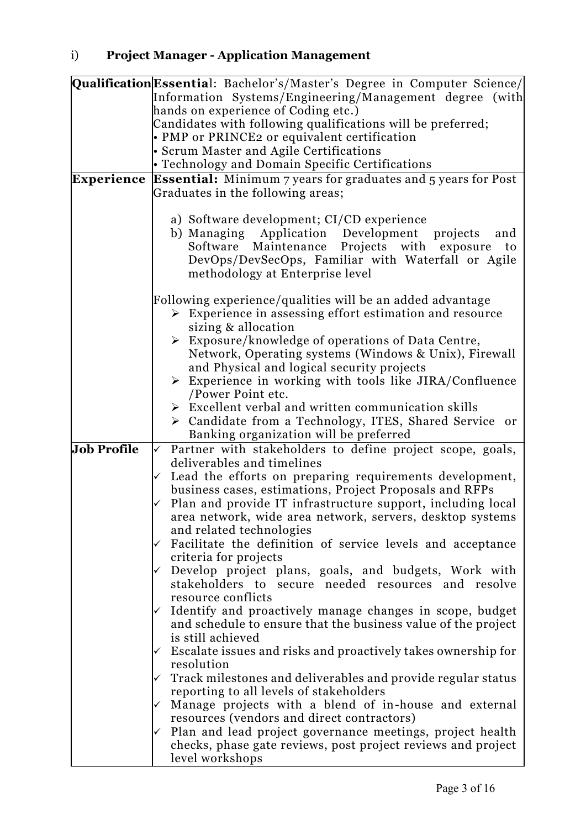|                    | Qualification Essential: Bachelor's/Master's Degree in Computer Science/    |
|--------------------|-----------------------------------------------------------------------------|
|                    | Information Systems/Engineering/Management degree (with                     |
|                    | hands on experience of Coding etc.)                                         |
|                    | Candidates with following qualifications will be preferred;                 |
|                    | • PMP or PRINCE2 or equivalent certification                                |
|                    | • Scrum Master and Agile Certifications                                     |
|                    | • Technology and Domain Specific Certifications                             |
| <b>Experience</b>  | <b>Essential:</b> Minimum 7 years for graduates and 5 years for Post        |
|                    | Graduates in the following areas;                                           |
|                    |                                                                             |
|                    | a) Software development; CI/CD experience                                   |
|                    | b) Managing Application Development projects<br>and                         |
|                    | Software Maintenance Projects with exposure<br>to                           |
|                    | DevOps/DevSecOps, Familiar with Waterfall or Agile                          |
|                    | methodology at Enterprise level                                             |
|                    |                                                                             |
|                    | Following experience/qualities will be an added advantage                   |
|                    | $\triangleright$ Experience in assessing effort estimation and resource     |
|                    | sizing & allocation                                                         |
|                    | $\triangleright$ Exposure/knowledge of operations of Data Centre,           |
|                    | Network, Operating systems (Windows & Unix), Firewall                       |
|                    | and Physical and logical security projects                                  |
|                    | $\triangleright$ Experience in working with tools like JIRA/Confluence      |
|                    | /Power Point etc.                                                           |
|                    | $\triangleright$ Excellent verbal and written communication skills          |
|                    | > Candidate from a Technology, ITES, Shared Service or                      |
|                    | Banking organization will be preferred                                      |
| <b>Job Profile</b> | Partner with stakeholders to define project scope, goals,<br>$\checkmark$   |
|                    | deliverables and timelines                                                  |
|                    | Lead the efforts on preparing requirements development,                     |
|                    | business cases, estimations, Project Proposals and RFPs                     |
|                    | Plan and provide IT infrastructure support, including local                 |
|                    | area network, wide area network, servers, desktop systems                   |
|                    | and related technologies                                                    |
|                    | Facilitate the definition of service levels and acceptance                  |
|                    | criteria for projects                                                       |
|                    | Develop project plans, goals, and budgets, Work with                        |
|                    | stakeholders to secure needed resources and resolve                         |
|                    | resource conflicts                                                          |
|                    | Identify and proactively manage changes in scope, budget                    |
|                    | and schedule to ensure that the business value of the project               |
|                    | is still achieved                                                           |
|                    |                                                                             |
|                    | Escalate issues and risks and proactively takes ownership for<br>resolution |
|                    |                                                                             |
|                    | Track milestones and deliverables and provide regular status                |
|                    | reporting to all levels of stakeholders                                     |
|                    | Manage projects with a blend of in-house and external                       |
|                    | resources (vendors and direct contractors)                                  |
|                    | Plan and lead project governance meetings, project health                   |
|                    | checks, phase gate reviews, post project reviews and project                |
|                    | level workshops                                                             |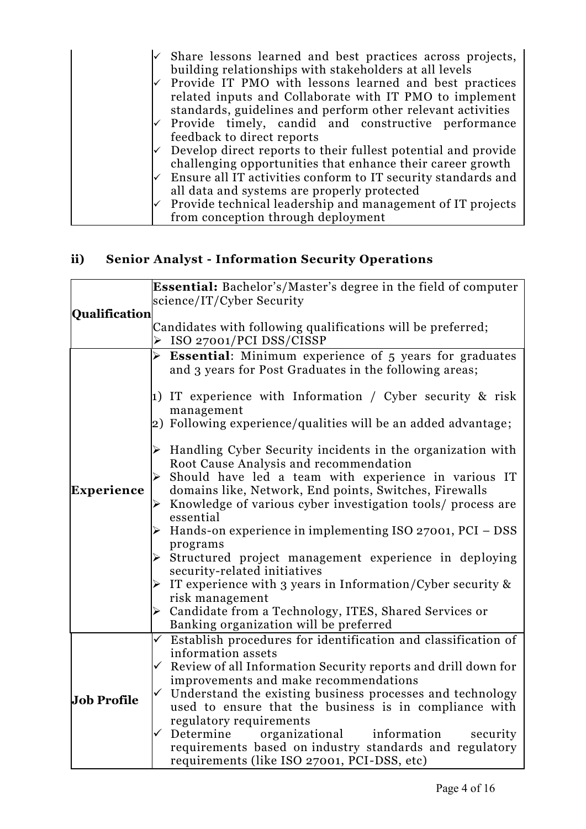|   | $\checkmark$ Share lessons learned and best practices across projects,<br>building relationships with stakeholders at all levels |
|---|----------------------------------------------------------------------------------------------------------------------------------|
|   | Provide IT PMO with lessons learned and best practices                                                                           |
|   | related inputs and Collaborate with IT PMO to implement                                                                          |
|   | standards, guidelines and perform other relevant activities                                                                      |
|   | Provide timely, candid and constructive performance                                                                              |
|   | feedback to direct reports                                                                                                       |
| ✓ | Develop direct reports to their fullest potential and provide                                                                    |
|   | challenging opportunities that enhance their career growth                                                                       |
|   | Ensure all IT activities conform to IT security standards and                                                                    |
|   | all data and systems are properly protected                                                                                      |
| ✓ | Provide technical leadership and management of IT projects                                                                       |
|   | from conception through deployment                                                                                               |

# **ii) Senior Analyst - Information Security Operations**

|                    | <b>Essential:</b> Bachelor's/Master's degree in the field of computer          |  |  |
|--------------------|--------------------------------------------------------------------------------|--|--|
|                    | science/IT/Cyber Security                                                      |  |  |
| Qualification      |                                                                                |  |  |
|                    | Candidates with following qualifications will be preferred;                    |  |  |
|                    | > ISO 27001/PCI DSS/CISSP                                                      |  |  |
|                    | $\triangleright$ <b>Essential:</b> Minimum experience of 5 years for graduates |  |  |
|                    | and 3 years for Post Graduates in the following areas;                         |  |  |
|                    |                                                                                |  |  |
|                    | 1) IT experience with Information / Cyber security & risk                      |  |  |
|                    | management                                                                     |  |  |
|                    | 2) Following experience/qualities will be an added advantage;                  |  |  |
|                    |                                                                                |  |  |
|                    | $\triangleright$ Handling Cyber Security incidents in the organization with    |  |  |
|                    | Root Cause Analysis and recommendation                                         |  |  |
|                    | Should have led a team with experience in various IT                           |  |  |
| <b>Experience</b>  | domains like, Network, End points, Switches, Firewalls                         |  |  |
|                    | $\triangleright$ Knowledge of various cyber investigation tools/ process are   |  |  |
|                    | essential                                                                      |  |  |
|                    | $\triangleright$ Hands-on experience in implementing ISO 27001, PCI – DSS      |  |  |
|                    | programs                                                                       |  |  |
|                    | $\triangleright$ Structured project management experience in deploying         |  |  |
|                    | security-related initiatives                                                   |  |  |
|                    | If experience with 3 years in Information/Cyber security &                     |  |  |
|                    | risk management                                                                |  |  |
|                    | > Candidate from a Technology, ITES, Shared Services or                        |  |  |
|                    | Banking organization will be preferred                                         |  |  |
|                    | $\checkmark$ Establish procedures for identification and classification of     |  |  |
|                    | information assets                                                             |  |  |
|                    | $\checkmark$ Review of all Information Security reports and drill down for     |  |  |
|                    | improvements and make recommendations                                          |  |  |
|                    | $\checkmark$ Understand the existing business processes and technology         |  |  |
| <b>Job Profile</b> | used to ensure that the business is in compliance with                         |  |  |
|                    | regulatory requirements                                                        |  |  |
|                    | organizational information<br>$\checkmark$ Determine<br>security               |  |  |
|                    | requirements based on industry standards and regulatory                        |  |  |
|                    | requirements (like ISO 27001, PCI-DSS, etc)                                    |  |  |
|                    |                                                                                |  |  |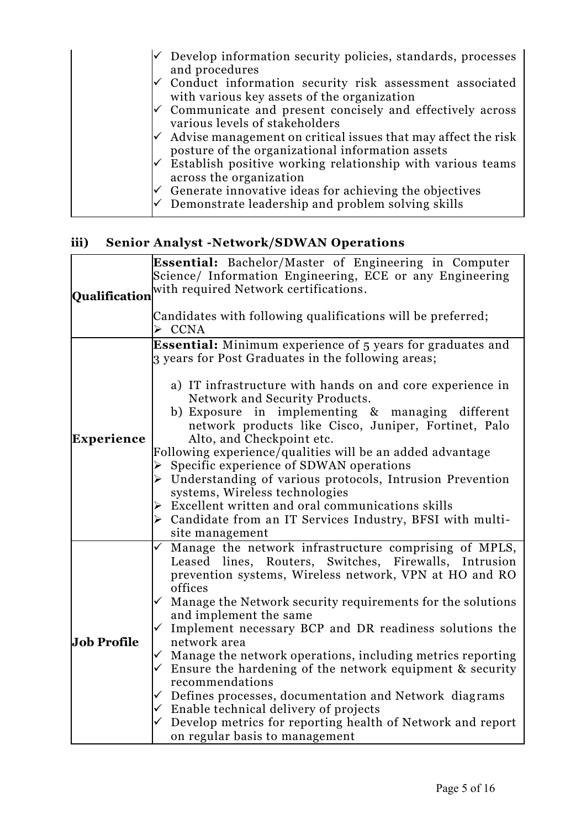| $\vee$ Develop information security policies, standards, processes<br>and procedures                              |
|-------------------------------------------------------------------------------------------------------------------|
| Conduct information security risk assessment associated<br>with various key assets of the organization            |
| Communicate and present concisely and effectively across<br>various levels of stakeholders                        |
| Advise management on critical issues that may affect the risk<br>posture of the organizational information assets |
| Establish positive working relationship with various teams<br>across the organization                             |
| Generate innovative ideas for achieving the objectives<br>Demonstrate leadership and problem solving skills       |

## **iii) Senior Analyst -Network/SDWAN Operations**

| Science/ Information Engineering, ECE or any Engineering                                   |  |  |  |
|--------------------------------------------------------------------------------------------|--|--|--|
|                                                                                            |  |  |  |
|                                                                                            |  |  |  |
|                                                                                            |  |  |  |
|                                                                                            |  |  |  |
|                                                                                            |  |  |  |
| $\triangleright$ CCNA<br><b>Essential:</b> Minimum experience of 5 years for graduates and |  |  |  |
|                                                                                            |  |  |  |
|                                                                                            |  |  |  |
| a) IT infrastructure with hands on and core experience in                                  |  |  |  |
|                                                                                            |  |  |  |
| b) Exposure in implementing & managing different                                           |  |  |  |
| network products like Cisco, Juniper, Fortinet, Palo                                       |  |  |  |
|                                                                                            |  |  |  |
|                                                                                            |  |  |  |
|                                                                                            |  |  |  |
| $\triangleright$ Understanding of various protocols, Intrusion Prevention                  |  |  |  |
|                                                                                            |  |  |  |
|                                                                                            |  |  |  |
| > Candidate from an IT Services Industry, BFSI with multi-                                 |  |  |  |
|                                                                                            |  |  |  |
| Manage the network infrastructure comprising of MPLS,                                      |  |  |  |
| Leased lines, Routers, Switches, Firewalls, Intrusion                                      |  |  |  |
| prevention systems, Wireless network, VPN at HO and RO                                     |  |  |  |
|                                                                                            |  |  |  |
| $\checkmark$ Manage the Network security requirements for the solutions                    |  |  |  |
|                                                                                            |  |  |  |
| $\checkmark$ Implement necessary BCP and DR readiness solutions the                        |  |  |  |
|                                                                                            |  |  |  |
| $\checkmark$ Manage the network operations, including metrics reporting                    |  |  |  |
| $\checkmark$ Ensure the hardening of the network equipment & security                      |  |  |  |
|                                                                                            |  |  |  |
| $\checkmark$ Defines processes, documentation and Network diagrams                         |  |  |  |
|                                                                                            |  |  |  |
| $\checkmark$ Develop metrics for reporting health of Network and report                    |  |  |  |
|                                                                                            |  |  |  |
|                                                                                            |  |  |  |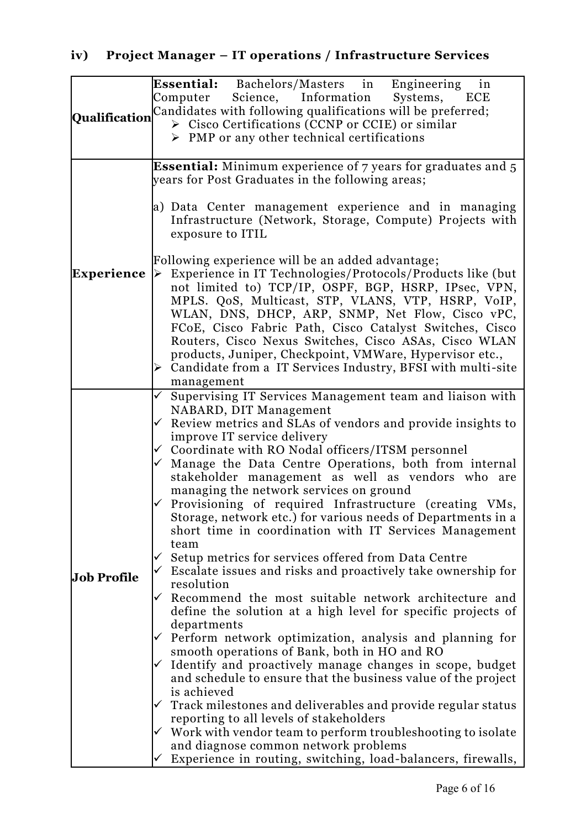|                    | <b>Essential:</b> Bachelors/Masters in Engineering in                                                                               |
|--------------------|-------------------------------------------------------------------------------------------------------------------------------------|
|                    | Computer<br>Science, Information Systems, ECE                                                                                       |
|                    | Qualification Candidates with following qualifications will be preferred;                                                           |
|                    | $\triangleright$ Cisco Certifications (CCNP or CCIE) or similar                                                                     |
|                    | $\triangleright$ PMP or any other technical certifications                                                                          |
|                    | <b>Essential:</b> Minimum experience of 7 years for graduates and 5                                                                 |
|                    | years for Post Graduates in the following areas;                                                                                    |
|                    | a) Data Center management experience and in managing                                                                                |
|                    | Infrastructure (Network, Storage, Compute) Projects with                                                                            |
|                    | exposure to ITIL                                                                                                                    |
|                    | Following experience will be an added advantage;                                                                                    |
| Experience         | $\triangleright$ Experience in IT Technologies/Protocols/Products like (but                                                         |
|                    | not limited to) TCP/IP, OSPF, BGP, HSRP, IPsec, VPN,                                                                                |
|                    | MPLS. QoS, Multicast, STP, VLANS, VTP, HSRP, VoIP,<br>WLAN, DNS, DHCP, ARP, SNMP, Net Flow, Cisco vPC,                              |
|                    | FCoE, Cisco Fabric Path, Cisco Catalyst Switches, Cisco                                                                             |
|                    | Routers, Cisco Nexus Switches, Cisco ASAs, Cisco WLAN                                                                               |
|                    | products, Juniper, Checkpoint, VMWare, Hypervisor etc.,                                                                             |
|                    | $\triangleright$ Candidate from a IT Services Industry, BFSI with multi-site                                                        |
|                    | management                                                                                                                          |
|                    | $\checkmark$ Supervising IT Services Management team and liaison with                                                               |
|                    | NABARD, DIT Management<br>$\checkmark$ Review metrics and SLAs of vendors and provide insights to                                   |
|                    | improve IT service delivery                                                                                                         |
|                    | ✓ Coordinate with RO Nodal officers/ITSM personnel                                                                                  |
|                    | $\checkmark$ Manage the Data Centre Operations, both from internal                                                                  |
|                    | stakeholder management as well as vendors who are                                                                                   |
|                    | managing the network services on ground                                                                                             |
|                    | $\checkmark$ Provisioning of required Infrastructure (creating VMs,<br>Storage, network etc.) for various needs of Departments in a |
|                    | short time in coordination with IT Services Management                                                                              |
|                    | team                                                                                                                                |
|                    | Setup metrics for services offered from Data Centre                                                                                 |
| <b>Job Profile</b> | Escalate issues and risks and proactively take ownership for                                                                        |
|                    | resolution                                                                                                                          |
|                    | Recommend the most suitable network architecture and                                                                                |
|                    | define the solution at a high level for specific projects of<br>departments                                                         |
|                    | $\checkmark$ Perform network optimization, analysis and planning for                                                                |
|                    | smooth operations of Bank, both in HO and RO                                                                                        |
|                    | Identify and proactively manage changes in scope, budget                                                                            |
|                    | and schedule to ensure that the business value of the project                                                                       |
|                    | is achieved                                                                                                                         |
|                    | Track milestones and deliverables and provide regular status<br>reporting to all levels of stakeholders                             |
|                    | $\checkmark$ Work with vendor team to perform troubleshooting to isolate                                                            |
|                    | and diagnose common network problems                                                                                                |
|                    | Experience in routing, switching, load-balancers, firewalls,                                                                        |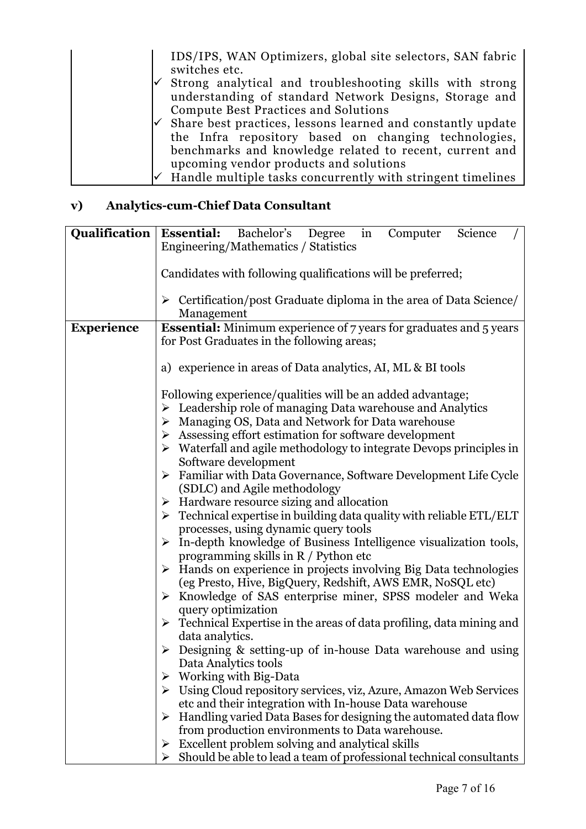IDS/IPS, WAN Optimizers, global site selectors, SAN fabric switches etc.  $\checkmark$  Strong analytical and troubleshooting skills with strong understanding of standard Network Designs, Storage and Compute Best Practices and Solutions Share best practices, lessons learned and constantly update the Infra repository based on changing technologies, benchmarks and knowledge related to recent, current and upcoming vendor products and solutions Handle multiple tasks concurrently with stringent timelines

## **v) Analytics-cum-Chief Data Consultant**

|                   | <b>Qualification   Essential:</b> Bachelor's Degree in<br>Computer<br>Science                                                    |
|-------------------|----------------------------------------------------------------------------------------------------------------------------------|
|                   | Engineering/Mathematics / Statistics                                                                                             |
|                   |                                                                                                                                  |
|                   | Candidates with following qualifications will be preferred;                                                                      |
|                   |                                                                                                                                  |
|                   | $\triangleright$ Certification/post Graduate diploma in the area of Data Science/                                                |
|                   | Management                                                                                                                       |
| <b>Experience</b> | <b>Essential:</b> Minimum experience of 7 years for graduates and 5 years                                                        |
|                   | for Post Graduates in the following areas;                                                                                       |
|                   |                                                                                                                                  |
|                   | a) experience in areas of Data analytics, AI, ML & BI tools                                                                      |
|                   |                                                                                                                                  |
|                   | Following experience/qualities will be an added advantage;                                                                       |
|                   | Leadership role of managing Data warehouse and Analytics<br>➤                                                                    |
|                   | Managing OS, Data and Network for Data warehouse<br>➤                                                                            |
|                   | $\triangleright$ Assessing effort estimation for software development                                                            |
|                   | $\triangleright$ Waterfall and agile methodology to integrate Devops principles in                                               |
|                   | Software development                                                                                                             |
|                   | Familiar with Data Governance, Software Development Life Cycle<br>$\blacktriangleright$                                          |
|                   | (SDLC) and Agile methodology                                                                                                     |
|                   | Hardware resource sizing and allocation<br>➤                                                                                     |
|                   | Technical expertise in building data quality with reliable ETL/ELT<br>$\blacktriangleright$                                      |
|                   | processes, using dynamic query tools                                                                                             |
|                   | $\triangleright$ In-depth knowledge of Business Intelligence visualization tools,                                                |
|                   | programming skills in R / Python etc                                                                                             |
|                   | Hands on experience in projects involving Big Data technologies<br>$\blacktriangleright$                                         |
|                   | (eg Presto, Hive, BigQuery, Redshift, AWS EMR, NoSQL etc)                                                                        |
|                   | Knowledge of SAS enterprise miner, SPSS modeler and Weka<br>$\blacktriangleright$                                                |
|                   | query optimization                                                                                                               |
|                   | $\triangleright$ Technical Expertise in the areas of data profiling, data mining and                                             |
|                   | data analytics.                                                                                                                  |
|                   | Designing & setting-up of in-house Data warehouse and using<br>➤                                                                 |
|                   | Data Analytics tools                                                                                                             |
|                   | Working with Big-Data                                                                                                            |
|                   | Using Cloud repository services, viz, Azure, Amazon Web Services                                                                 |
|                   | etc and their integration with In-house Data warehouse                                                                           |
|                   | Handling varied Data Bases for designing the automated data flow<br>$\blacktriangleright$                                        |
|                   | from production environments to Data warehouse.                                                                                  |
|                   | Excellent problem solving and analytical skills<br>➤<br>Should be able to lead a team of professional technical consultants<br>➤ |
|                   |                                                                                                                                  |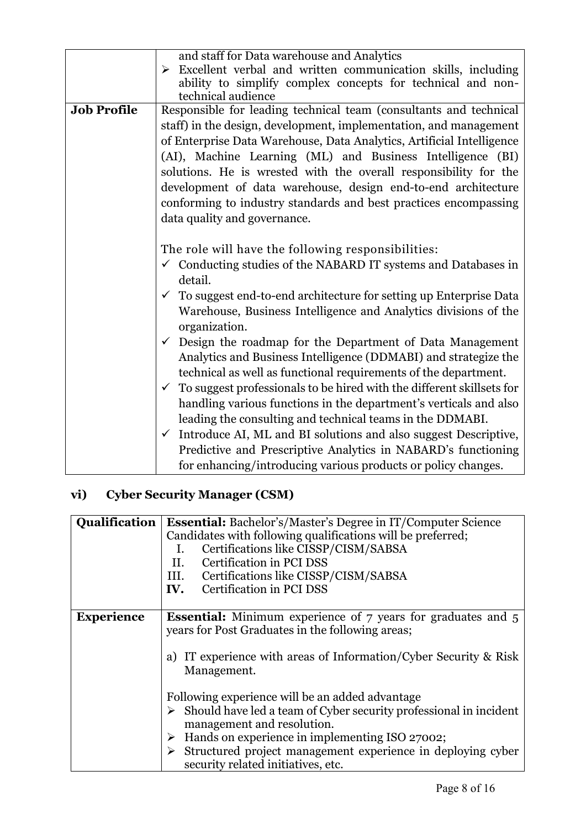|                    | and staff for Data warehouse and Analytics                                            |  |  |
|--------------------|---------------------------------------------------------------------------------------|--|--|
|                    | Excellent verbal and written communication skills, including<br>$\blacktriangleright$ |  |  |
|                    | ability to simplify complex concepts for technical and non-                           |  |  |
|                    | technical audience                                                                    |  |  |
| <b>Job Profile</b> | Responsible for leading technical team (consultants and technical                     |  |  |
|                    | staff) in the design, development, implementation, and management                     |  |  |
|                    | of Enterprise Data Warehouse, Data Analytics, Artificial Intelligence                 |  |  |
|                    | (AI), Machine Learning (ML) and Business Intelligence (BI)                            |  |  |
|                    | solutions. He is wrested with the overall responsibility for the                      |  |  |
|                    | development of data warehouse, design end-to-end architecture                         |  |  |
|                    | conforming to industry standards and best practices encompassing                      |  |  |
|                    | data quality and governance.                                                          |  |  |
|                    |                                                                                       |  |  |
|                    | The role will have the following responsibilities:                                    |  |  |
|                    | $\checkmark$ Conducting studies of the NABARD IT systems and Databases in             |  |  |
|                    | detail.                                                                               |  |  |
|                    | To suggest end-to-end architecture for setting up Enterprise Data<br>$\checkmark$     |  |  |
|                    | Warehouse, Business Intelligence and Analytics divisions of the                       |  |  |
|                    | organization.                                                                         |  |  |
|                    | $\checkmark$ Design the roadmap for the Department of Data Management                 |  |  |
|                    | Analytics and Business Intelligence (DDMABI) and strategize the                       |  |  |
|                    | technical as well as functional requirements of the department.                       |  |  |
|                    | $\checkmark$ To suggest professionals to be hired with the different skillsets for    |  |  |
|                    | handling various functions in the department's verticals and also                     |  |  |
|                    | leading the consulting and technical teams in the DDMABI.                             |  |  |
|                    | $\checkmark$ Introduce AI, ML and BI solutions and also suggest Descriptive,          |  |  |
|                    |                                                                                       |  |  |
|                    | Predictive and Prescriptive Analytics in NABARD's functioning                         |  |  |
|                    | for enhancing/introducing various products or policy changes.                         |  |  |

# **vi) Cyber Security Manager (CSM)**

| <b>Qualification</b> | <b>Essential:</b> Bachelor's/Master's Degree in IT/Computer Science                                                     |  |  |
|----------------------|-------------------------------------------------------------------------------------------------------------------------|--|--|
|                      | Candidates with following qualifications will be preferred;                                                             |  |  |
|                      | Certifications like CISSP/CISM/SABSA<br>Ι.                                                                              |  |  |
|                      | Certification in PCI DSS<br>II.                                                                                         |  |  |
|                      | III. Certifications like CISSP/CISM/SABSA                                                                               |  |  |
|                      | <b>IV.</b> Certification in PCI DSS                                                                                     |  |  |
|                      |                                                                                                                         |  |  |
| <b>Experience</b>    | <b>Essential:</b> Minimum experience of 7 years for graduates and 5<br>years for Post Graduates in the following areas; |  |  |
|                      | a) IT experience with areas of Information/Cyber Security & Risk<br>Management.                                         |  |  |
|                      | Following experience will be an added advantage                                                                         |  |  |
|                      | Should have led a team of Cyber security professional in incident<br>➤<br>management and resolution.                    |  |  |
|                      | $\triangleright$ Hands on experience in implementing ISO 27002;                                                         |  |  |
|                      | Structured project management experience in deploying cyber<br>➤<br>security related initiatives, etc.                  |  |  |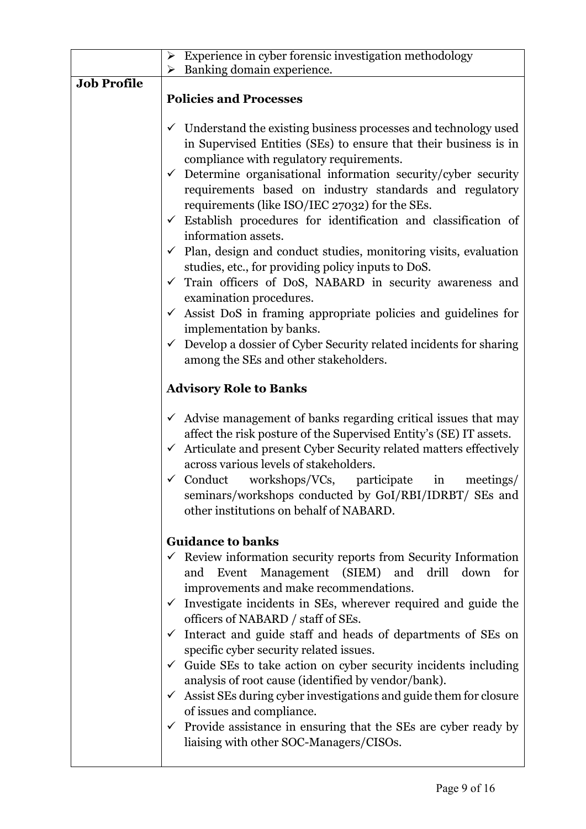|                    | Experience in cyber forensic investigation methodology<br>➤                                                                                                                                                                                                                                                                                                                                                                                                                                                                                                                                                                                                                                                                                                                                                                                                                                                                                                                          |
|--------------------|--------------------------------------------------------------------------------------------------------------------------------------------------------------------------------------------------------------------------------------------------------------------------------------------------------------------------------------------------------------------------------------------------------------------------------------------------------------------------------------------------------------------------------------------------------------------------------------------------------------------------------------------------------------------------------------------------------------------------------------------------------------------------------------------------------------------------------------------------------------------------------------------------------------------------------------------------------------------------------------|
|                    | $\triangleright$ Banking domain experience.                                                                                                                                                                                                                                                                                                                                                                                                                                                                                                                                                                                                                                                                                                                                                                                                                                                                                                                                          |
| <b>Job Profile</b> | <b>Policies and Processes</b>                                                                                                                                                                                                                                                                                                                                                                                                                                                                                                                                                                                                                                                                                                                                                                                                                                                                                                                                                        |
|                    | Understand the existing business processes and technology used<br>$\checkmark$<br>in Supervised Entities (SEs) to ensure that their business is in<br>compliance with regulatory requirements.<br>Determine organisational information security/cyber security<br>$\checkmark$<br>requirements based on industry standards and regulatory<br>requirements (like ISO/IEC 27032) for the SEs.<br>$\checkmark$ Establish procedures for identification and classification of<br>information assets.<br>$\checkmark$ Plan, design and conduct studies, monitoring visits, evaluation<br>studies, etc., for providing policy inputs to DoS.<br>Train officers of DoS, NABARD in security awareness and<br>$\checkmark$<br>examination procedures.<br>Assist DoS in framing appropriate policies and guidelines for<br>$\checkmark$<br>implementation by banks.<br>$\checkmark$ Develop a dossier of Cyber Security related incidents for sharing<br>among the SEs and other stakeholders. |
|                    | <b>Advisory Role to Banks</b>                                                                                                                                                                                                                                                                                                                                                                                                                                                                                                                                                                                                                                                                                                                                                                                                                                                                                                                                                        |
|                    | $\checkmark$ Advise management of banks regarding critical issues that may<br>affect the risk posture of the Supervised Entity's (SE) IT assets.<br>$\checkmark$ Articulate and present Cyber Security related matters effectively<br>across various levels of stakeholders.<br>$\checkmark$ Conduct workshops/VCs, participate in<br>meetings/<br>seminars/workshops conducted by GoI/RBI/IDRBT/ SEs and<br>other institutions on behalf of NABARD.                                                                                                                                                                                                                                                                                                                                                                                                                                                                                                                                 |
|                    | <b>Guidance to banks</b><br>$\checkmark$ Review information security reports from Security Information<br>and Event Management (SIEM) and drill down<br>for<br>improvements and make recommendations.<br>$\checkmark$ Investigate incidents in SEs, wherever required and guide the<br>officers of NABARD / staff of SEs.<br>$\checkmark$ Interact and guide staff and heads of departments of SEs on<br>specific cyber security related issues.<br>Guide SEs to take action on cyber security incidents including<br>$\checkmark$<br>analysis of root cause (identified by vendor/bank).<br>$\checkmark$ Assist SEs during cyber investigations and guide them for closure<br>of issues and compliance.<br>$\checkmark$ Provide assistance in ensuring that the SEs are cyber ready by<br>liaising with other SOC-Managers/CISOs.                                                                                                                                                   |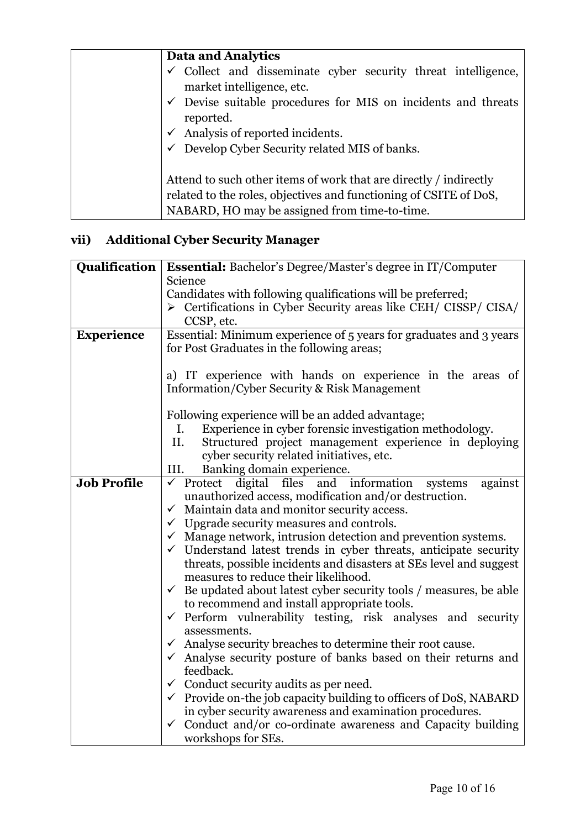| Data and Analytics                                                                                                                                                                      |
|-----------------------------------------------------------------------------------------------------------------------------------------------------------------------------------------|
| $\checkmark$ Collect and disseminate cyber security threat intelligence,<br>market intelligence, etc.                                                                                   |
| $\checkmark$ Devise suitable procedures for MIS on incidents and threats<br>reported.                                                                                                   |
| $\checkmark$ Analysis of reported incidents.                                                                                                                                            |
| $\checkmark$ Develop Cyber Security related MIS of banks.                                                                                                                               |
| Attend to such other items of work that are directly / indirectly<br>related to the roles, objectives and functioning of CSITE of DoS,<br>NABARD, HO may be assigned from time-to-time. |

## **vii) Additional Cyber Security Manager**

|                    | <b>Qualification</b>   <b>Essential:</b> Bachelor's Degree/Master's degree in IT/Computer |  |  |
|--------------------|-------------------------------------------------------------------------------------------|--|--|
|                    | Science                                                                                   |  |  |
|                    | Candidates with following qualifications will be preferred;                               |  |  |
|                    | $\triangleright$ Certifications in Cyber Security areas like CEH/CISSP/CISA/              |  |  |
|                    | CCSP, etc.                                                                                |  |  |
| <b>Experience</b>  | Essential: Minimum experience of 5 years for graduates and 3 years                        |  |  |
|                    | for Post Graduates in the following areas;                                                |  |  |
|                    |                                                                                           |  |  |
|                    | a) IT experience with hands on experience in the areas of                                 |  |  |
|                    | Information/Cyber Security & Risk Management                                              |  |  |
|                    |                                                                                           |  |  |
|                    | Following experience will be an added advantage;                                          |  |  |
|                    | Experience in cyber forensic investigation methodology.<br>I.                             |  |  |
|                    | Structured project management experience in deploying<br>II.                              |  |  |
|                    | cyber security related initiatives, etc.                                                  |  |  |
|                    | III.<br>Banking domain experience.                                                        |  |  |
| <b>Job Profile</b> | $\checkmark$ Protect digital files and information<br>systems<br>against                  |  |  |
|                    | unauthorized access, modification and/or destruction.                                     |  |  |
|                    | $\checkmark$ Maintain data and monitor security access.                                   |  |  |
|                    | $\checkmark$ Upgrade security measures and controls.                                      |  |  |
|                    | $\checkmark$ Manage network, intrusion detection and prevention systems.                  |  |  |
|                    | $\checkmark$ Understand latest trends in cyber threats, anticipate security               |  |  |
|                    | threats, possible incidents and disasters at SEs level and suggest                        |  |  |
|                    | measures to reduce their likelihood.                                                      |  |  |
|                    | $\checkmark$ Be updated about latest cyber security tools / measures, be able             |  |  |
|                    | to recommend and install appropriate tools.                                               |  |  |
|                    | $\checkmark$ Perform vulnerability testing, risk analyses and security                    |  |  |
|                    | assessments.                                                                              |  |  |
|                    | $\checkmark$ Analyse security breaches to determine their root cause.                     |  |  |
|                    | $\checkmark$ Analyse security posture of banks based on their returns and                 |  |  |
|                    | feedback.                                                                                 |  |  |
|                    | $\checkmark$ Conduct security audits as per need.                                         |  |  |
|                    | $\checkmark$ Provide on-the job capacity building to officers of DoS, NABARD              |  |  |
|                    | in cyber security awareness and examination procedures.                                   |  |  |
|                    | Conduct and/or co-ordinate awareness and Capacity building<br>$\checkmark$                |  |  |
|                    | workshops for SEs.                                                                        |  |  |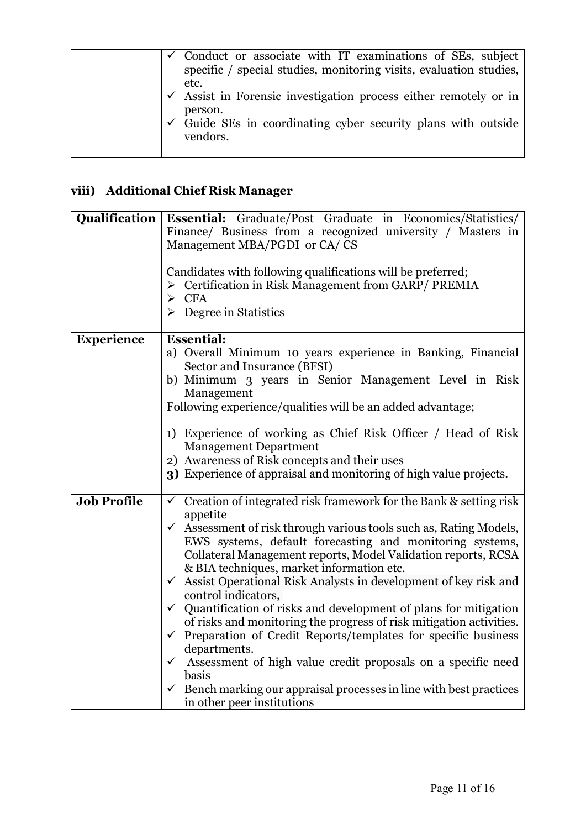| $\checkmark$ Conduct or associate with IT examinations of SEs, subject      |
|-----------------------------------------------------------------------------|
| specific / special studies, monitoring visits, evaluation studies,          |
| etc.                                                                        |
| $\checkmark$ Assist in Forensic investigation process either remotely or in |
| person.                                                                     |
| $\checkmark$ Guide SEs in coordinating cyber security plans with outside    |
| vendors.                                                                    |
|                                                                             |

## **viii) Additional Chief Risk Manager**

|                    | <b>Qualification Essential:</b> Graduate/Post Graduate in Economics/Statistics/<br>Finance/ Business from a recognized university / Masters in<br>Management MBA/PGDI or CA/CS<br>Candidates with following qualifications will be preferred;<br>$\triangleright$ Certification in Risk Management from GARP/ PREMIA<br>CFA<br>➤<br>Degree in Statistics<br>➤                                                                                                                                                                                                                                                                                                                                                                                                                                                                                                                                                                 |
|--------------------|-------------------------------------------------------------------------------------------------------------------------------------------------------------------------------------------------------------------------------------------------------------------------------------------------------------------------------------------------------------------------------------------------------------------------------------------------------------------------------------------------------------------------------------------------------------------------------------------------------------------------------------------------------------------------------------------------------------------------------------------------------------------------------------------------------------------------------------------------------------------------------------------------------------------------------|
| <b>Experience</b>  | <b>Essential:</b><br>a) Overall Minimum 10 years experience in Banking, Financial<br>Sector and Insurance (BFSI)<br>b) Minimum 3 years in Senior Management Level in Risk<br>Management<br>Following experience/qualities will be an added advantage;<br>1) Experience of working as Chief Risk Officer / Head of Risk<br><b>Management Department</b><br>2) Awareness of Risk concepts and their uses<br>3) Experience of appraisal and monitoring of high value projects.                                                                                                                                                                                                                                                                                                                                                                                                                                                   |
| <b>Job Profile</b> | $\checkmark$ Creation of integrated risk framework for the Bank & setting risk<br>appetite<br>Assessment of risk through various tools such as, Rating Models,<br>$\checkmark$<br>EWS systems, default forecasting and monitoring systems,<br>Collateral Management reports, Model Validation reports, RCSA<br>& BIA techniques, market information etc.<br>Assist Operational Risk Analysts in development of key risk and<br>$\checkmark$<br>control indicators,<br>$\checkmark$ Quantification of risks and development of plans for mitigation<br>of risks and monitoring the progress of risk mitigation activities.<br>$\checkmark$ Preparation of Credit Reports/templates for specific business<br>departments.<br>$\checkmark$ Assessment of high value credit proposals on a specific need<br>basis<br>$\checkmark$ Bench marking our appraisal processes in line with best practices<br>in other peer institutions |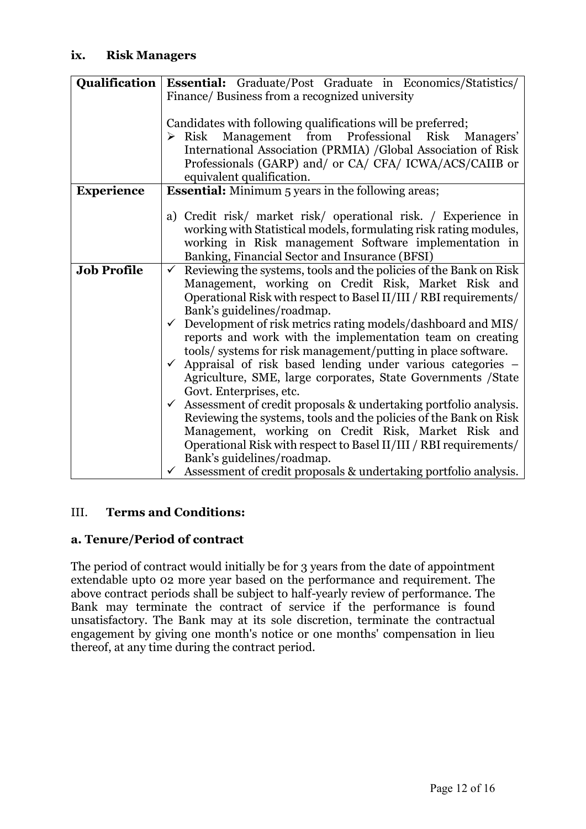| <b>Qualification</b><br>Essential: Graduate/Post Graduate in Economics/Statistics/                                                         |  |  |
|--------------------------------------------------------------------------------------------------------------------------------------------|--|--|
| Finance/ Business from a recognized university                                                                                             |  |  |
|                                                                                                                                            |  |  |
| Candidates with following qualifications will be preferred;                                                                                |  |  |
| $\triangleright$ Risk Management from Professional Risk Managers'                                                                          |  |  |
| International Association (PRMIA) /Global Association of Risk                                                                              |  |  |
| Professionals (GARP) and/ or CA/ CFA/ ICWA/ACS/CAIIB or                                                                                    |  |  |
| equivalent qualification.                                                                                                                  |  |  |
| <b>Essential:</b> Minimum 5 years in the following areas;                                                                                  |  |  |
|                                                                                                                                            |  |  |
| a) Credit risk/ market risk/ operational risk. / Experience in                                                                             |  |  |
| working with Statistical models, formulating risk rating modules,                                                                          |  |  |
| working in Risk management Software implementation in                                                                                      |  |  |
| Banking, Financial Sector and Insurance (BFSI)                                                                                             |  |  |
| Reviewing the systems, tools and the policies of the Bank on Risk<br>$\checkmark$                                                          |  |  |
| Management, working on Credit Risk, Market Risk and                                                                                        |  |  |
| Operational Risk with respect to Basel II/III / RBI requirements/                                                                          |  |  |
| Bank's guidelines/roadmap.                                                                                                                 |  |  |
| $\checkmark$ Development of risk metrics rating models/dashboard and MIS/                                                                  |  |  |
| reports and work with the implementation team on creating                                                                                  |  |  |
| tools/ systems for risk management/putting in place software.                                                                              |  |  |
| Appraisal of risk based lending under various categories –<br>$\checkmark$<br>Agriculture, SME, large corporates, State Governments /State |  |  |
| Govt. Enterprises, etc.                                                                                                                    |  |  |
| Assessment of credit proposals & undertaking portfolio analysis.<br>$\checkmark$                                                           |  |  |
| Reviewing the systems, tools and the policies of the Bank on Risk                                                                          |  |  |
| Management, working on Credit Risk, Market Risk and                                                                                        |  |  |
| Operational Risk with respect to Basel II/III / RBI requirements/                                                                          |  |  |
| Bank's guidelines/roadmap.                                                                                                                 |  |  |
| $\checkmark$ Assessment of credit proposals & undertaking portfolio analysis.                                                              |  |  |
|                                                                                                                                            |  |  |

## III. **Terms and Conditions:**

## **a. Tenure/Period of contract**

The period of contract would initially be for 3 years from the date of appointment extendable upto 02 more year based on the performance and requirement. The above contract periods shall be subject to half-yearly review of performance. The Bank may terminate the contract of service if the performance is found unsatisfactory. The Bank may at its sole discretion, terminate the contractual engagement by giving one month's notice or one months' compensation in lieu thereof, at any time during the contract period.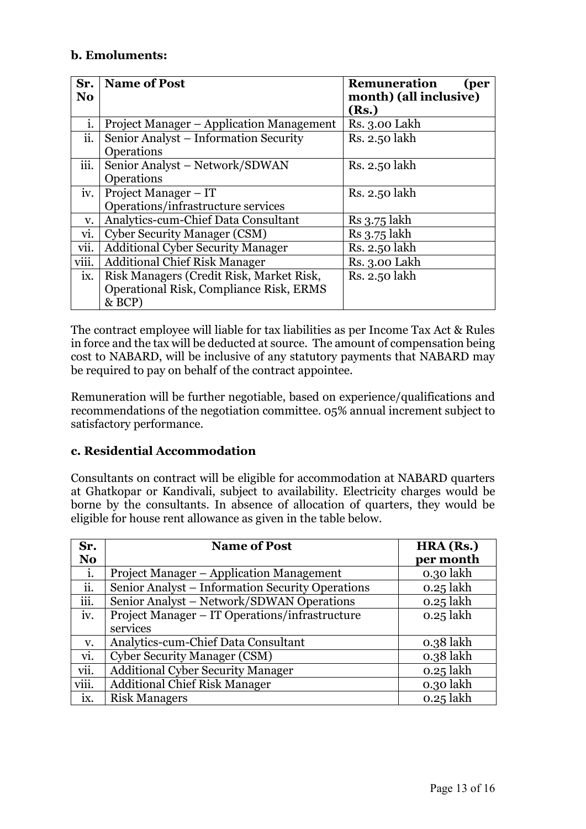## **b. Emoluments:**

| Sr.<br>N <sub>0</sub> | <b>Name of Post</b>                            | <b>Remuneration</b><br>(per<br>month) (all inclusive) |
|-----------------------|------------------------------------------------|-------------------------------------------------------|
|                       |                                                | (Rs.)                                                 |
| i.                    | Project Manager – Application Management       | Rs. 3.00 Lakh                                         |
| ii.                   | Senior Analyst - Information Security          | Rs. 2.50 lakh                                         |
|                       | Operations                                     |                                                       |
| iii.                  | Senior Analyst - Network/SDWAN                 | Rs. 2.50 lakh                                         |
|                       | Operations                                     |                                                       |
| iv.                   | Project Manager – IT                           | Rs. 2.50 lakh                                         |
|                       | Operations/infrastructure services             |                                                       |
| v.                    | Analytics-cum-Chief Data Consultant            | Rs 3.75 lakh                                          |
| vi.                   | <b>Cyber Security Manager (CSM)</b>            | Rs 3.75 lakh                                          |
| vii.                  | <b>Additional Cyber Security Manager</b>       | Rs. 2.50 lakh                                         |
| viii.                 | <b>Additional Chief Risk Manager</b>           | Rs. 3.00 Lakh                                         |
| ix.                   | Risk Managers (Credit Risk, Market Risk,       | Rs. 2.50 lakh                                         |
|                       | <b>Operational Risk, Compliance Risk, ERMS</b> |                                                       |
|                       | & BCP)                                         |                                                       |

The contract employee will liable for tax liabilities as per Income Tax Act & Rules in force and the tax will be deducted at source. The amount of compensation being cost to NABARD, will be inclusive of any statutory payments that NABARD may be required to pay on behalf of the contract appointee.

Remuneration will be further negotiable, based on experience/qualifications and recommendations of the negotiation committee. 05% annual increment subject to satisfactory performance.

#### **c. Residential Accommodation**

Consultants on contract will be eligible for accommodation at NABARD quarters at Ghatkopar or Kandivali, subject to availability. Electricity charges would be borne by the consultants. In absence of allocation of quarters, they would be eligible for house rent allowance as given in the table below.

| Sr.            | <b>Name of Post</b>                              | HRA (Rs.)   |
|----------------|--------------------------------------------------|-------------|
| N <sub>o</sub> |                                                  | per month   |
| i.             | Project Manager – Application Management         | 0.30 lakh   |
| ii.            | Senior Analyst – Information Security Operations | $0.25$ lakh |
| iii.           | Senior Analyst – Network/SDWAN Operations        | $0.25$ lakh |
| iv.            | Project Manager – IT Operations/infrastructure   | $0.25$ lakh |
|                | services                                         |             |
| V.             | Analytics-cum-Chief Data Consultant              | $0.38$ lakh |
| vi.            | <b>Cyber Security Manager (CSM)</b>              | $0.38$ lakh |
| vii.           | <b>Additional Cyber Security Manager</b>         | $0.25$ lakh |
| viii.          | <b>Additional Chief Risk Manager</b>             | 0.30 lakh   |
| ix.            | <b>Risk Managers</b>                             | $0.25$ lakh |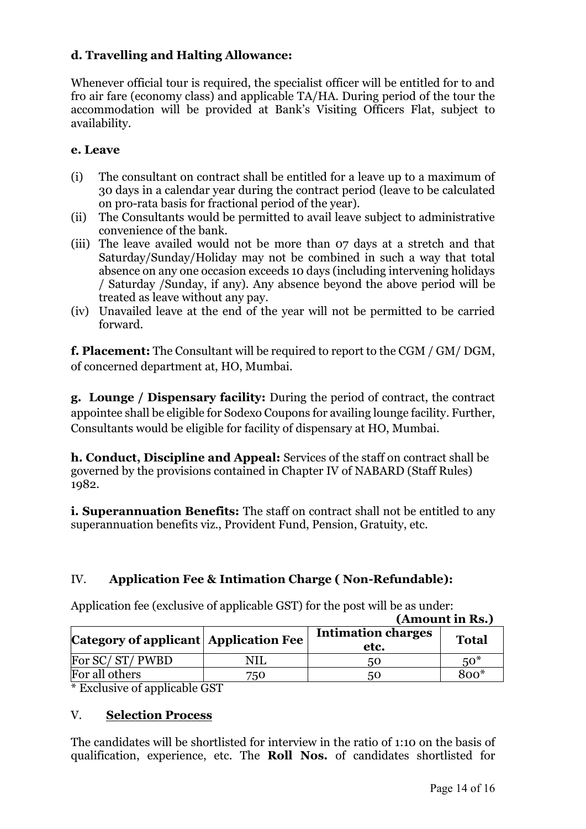## **d. Travelling and Halting Allowance:**

Whenever official tour is required, the specialist officer will be entitled for to and fro air fare (economy class) and applicable TA/HA. During period of the tour the accommodation will be provided at Bank's Visiting Officers Flat, subject to availability.

### **e. Leave**

- (i) The consultant on contract shall be entitled for a leave up to a maximum of 30 days in a calendar year during the contract period (leave to be calculated on pro-rata basis for fractional period of the year).
- (ii) The Consultants would be permitted to avail leave subject to administrative convenience of the bank.
- (iii) The leave availed would not be more than 07 days at a stretch and that Saturday/Sunday/Holiday may not be combined in such a way that total absence on any one occasion exceeds 10 days (including intervening holidays / Saturday /Sunday, if any). Any absence beyond the above period will be treated as leave without any pay.
- (iv) Unavailed leave at the end of the year will not be permitted to be carried forward.

**f. Placement:** The Consultant will be required to report to the CGM / GM/ DGM, of concerned department at, HO, Mumbai.

**g. Lounge / Dispensary facility:** During the period of contract, the contract appointee shall be eligible for Sodexo Coupons for availing lounge facility. Further, Consultants would be eligible for facility of dispensary at HO, Mumbai.

**h. Conduct, Discipline and Appeal:** Services of the staff on contract shall be governed by the provisions contained in Chapter IV of NABARD (Staff Rules) 1982.

**i. Superannuation Benefits:** The staff on contract shall not be entitled to any superannuation benefits viz., Provident Fund, Pension, Gratuity, etc.

## IV. **Application Fee & Intimation Charge ( Non-Refundable):**

Application fee (exclusive of applicable GST) for the post will be as under:

 **(Amount in Rs.)**

| Category of applicant Application Fee  |                      | <b>Intimation charges</b><br>etc. | <b>Total</b> |
|----------------------------------------|----------------------|-----------------------------------|--------------|
| For SC/ST/PWBD                         |                      | 50                                | $50*$        |
| For all others                         | 750.                 | 50                                | $800*$       |
| $\mathbf{v}$ . The set of $\mathbf{v}$ | $\sim$ $\sim$ $\sim$ |                                   |              |

\* Exclusive of applicable GST

## V. **Selection Process**

The candidates will be shortlisted for interview in the ratio of 1:10 on the basis of qualification, experience, etc. The **Roll Nos.** of candidates shortlisted for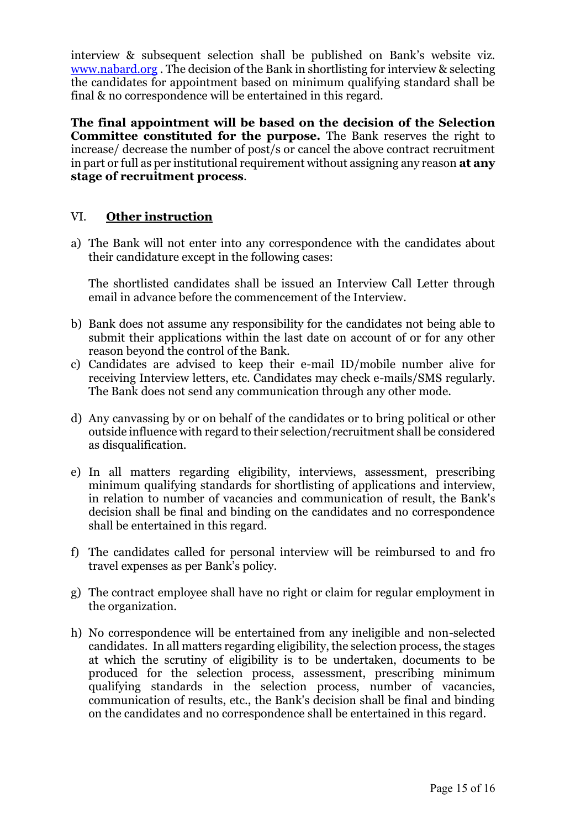interview & subsequent selection shall be published on Bank's website viz. [www.nabard.org](http://www.nabard.org/) . The decision of the Bank in shortlisting for interview & selecting the candidates for appointment based on minimum qualifying standard shall be final & no correspondence will be entertained in this regard.

**The final appointment will be based on the decision of the Selection Committee constituted for the purpose.** The Bank reserves the right to increase/ decrease the number of post/s or cancel the above contract recruitment in part or full as per institutional requirement without assigning any reason **at any stage of recruitment process**.

### VI. **Other instruction**

a) The Bank will not enter into any correspondence with the candidates about their candidature except in the following cases:

The shortlisted candidates shall be issued an Interview Call Letter through email in advance before the commencement of the Interview.

- b) Bank does not assume any responsibility for the candidates not being able to submit their applications within the last date on account of or for any other reason beyond the control of the Bank.
- c) Candidates are advised to keep their e-mail ID/mobile number alive for receiving Interview letters, etc. Candidates may check e-mails/SMS regularly. The Bank does not send any communication through any other mode.
- d) Any canvassing by or on behalf of the candidates or to bring political or other outside influence with regard to their selection/recruitment shall be considered as disqualification.
- e) In all matters regarding eligibility, interviews, assessment, prescribing minimum qualifying standards for shortlisting of applications and interview, in relation to number of vacancies and communication of result, the Bank's decision shall be final and binding on the candidates and no correspondence shall be entertained in this regard.
- f) The candidates called for personal interview will be reimbursed to and fro travel expenses as per Bank's policy.
- g) The contract employee shall have no right or claim for regular employment in the organization.
- h) No correspondence will be entertained from any ineligible and non-selected candidates. In all matters regarding eligibility, the selection process, the stages at which the scrutiny of eligibility is to be undertaken, documents to be produced for the selection process, assessment, prescribing minimum qualifying standards in the selection process, number of vacancies, communication of results, etc., the Bank's decision shall be final and binding on the candidates and no correspondence shall be entertained in this regard.